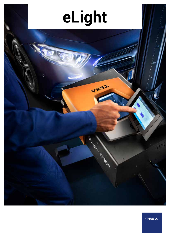# **eLight**

WHEN

To May 1999

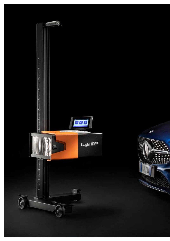

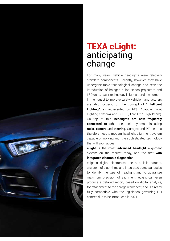

# **TEXA eLight:**  anticipating change

For many years, vehicle headlights were relatively standard components. Recently, however, they have undergone rapid technological change and seen the introduction of halogen bulbs, xenon projectors and LED units. Laser technology is just around the corner. In their quest to improve safety, vehicle manufacturers are also focusing on the concept of **"Intelligent Lighting"**, as represented by **AFS** (Adaptive Front Lighting System) and GFHB (Glare Free High Beam). On top of this, **headlights are now frequently connected to** other electronic systems, including **radar**, **camera** and **steering**. Garages and PTI centres therefore need a modern headlight alignment system capable of working with the sophisticated technology that will soon appear.

**eLight** is the most **advanced headlight** alignment system on the market today, and the first **with integrated electronic diagnostics**.

eLight's digital electronics use a built-in camera, a system of algorithms and integrated autodiagnostics to identify the type of headlight and to guarantee maximum precision of alignment. eLight can even produce a detailed report, based on digital analysis, for attachment to the garage worksheet, and is already fully compatible with the legislation governing PTI centres due to be introduced in 2021.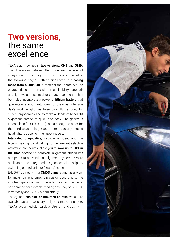## **Two versions,**  the same excellence

TEXA eLight comes in **two versions**, **ONE** and **ONED**. The differences between them concern the level of integration of the diagnostics, and are explained in the following pages. Both versions feature a **casing made from aluminium**, a material that combines the characteristics of precision machinability, strength and light weight essential to garage operations. They both also incorporate a powerful **lithium battery** that guarantees enough autonomy for the most intensive day's work. eLight has been carefully designed for superb ergonomics and to make all kinds of headlight alignment procedure quick and easy. The generous Fresnel lens (340x200 mm) is big enough to cater for the trend towards larger and more irregularly shaped headlights, as seen on the latest models.

**Integrated diagnostics**, capable of identifying the type of headlight and calling up the relevant selective activation procedures, allow you to **save up to 50% in the time** needed to complete alignment procedures compared to conventional alignment systems. Where applicable, the integrated diagnostics also help by switching control units to "setting" mode.

E-LIGHT comes with a **CMOS camera** and laser visor for maximum photometric precision according to the strictest specifications of vehicle manufacturers who can demand, for example, reading accuracy of +/- 0.1% in vertically and +/- 0.2% horizontally.

The system **can also be mounted on rails**, which are available as an accessory. eLight is made in Italy to TEXA's acclaimed standards of strength and quality.

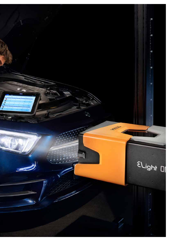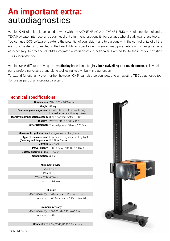## **An important extra:**  autodiagnostics

Version **ONE** of eLight is designed to work with the AXONE NEMO 2 or AXONE NEMO MINI diagnostic tool and a TEXA Navigator interface, and adds headlight alignment functionality for garages who already own these tools. You can use IDC5 software to extend the potential of your eLight and to dialogue with the control units of all the electronic systems connected to the headlights in order to identify errors, read parameters and change settings as necessary. In practice, eLight's integrated autodiagnostic functionalities are added to those of your existing TEXA diagnostic tool.

Version **ONED** differs in having its own **display** based on a bright **7 inch swivelling TFT touch screen**. This version can therefore serve as a stand alone tool, using its own built-in diagnostics.

To extend functionality even further, however, ONE<sup>D</sup> can also be connected to an existing TEXA diagnostic tool for use as part of an integrated system.

## **Technical specifications**

|                                                                            | Dimensions $770 \times 730 \times 1850$ mm                                                            |
|----------------------------------------------------------------------------|-------------------------------------------------------------------------------------------------------|
| Weight $52$ Kg                                                             |                                                                                                       |
|                                                                            | <b>Positioning and alignment</b> On wheels or on track (optional).<br>Manual alignment through lasers |
| Floor level compensation system $3$ -axis accelerometer; $\pm 1.8^{\circ}$ |                                                                                                       |
|                                                                            | Display* 7" TFT LED LCD 800 x 480                                                                     |
|                                                                            | Printer (Optional) Thermal printer; 58 mm; 203 Dpi                                                    |
|                                                                            | Measurable light sources Halogen, Xenon, Led, Laser                                                   |
| (Reading and diagnosis) ILS, DLA, Matrix                                   | Type of measurement Low beams, High beams, Fog lights,                                                |
|                                                                            | <b>Camera</b> 5 Mpixel                                                                                |
|                                                                            | <b>Power supply</b> 100-220V AC 50/60Hz 700 mA                                                        |

**Alignment device**

**Battery operating time** 15 hours **Consumption** 0.5 Ah

> Type Laser Class II Wavelength 635 nm Power  $< 5.0$  mW

## **Tilt angle**

Measuring range  $\pm$  6% vertical;  $\pm$  10% horizontal Accuracy  $\pm$  0.1% vertical;  $\pm$  0.2% horizontal

## **Luminous intensity**

Measuring range 150,000 cd - 240 Lux/25 m Accuracy  $\pm$  5%

**Connectivity** LAN, Wi-Fi, RS232, Bluetooth

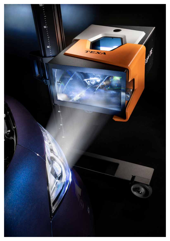